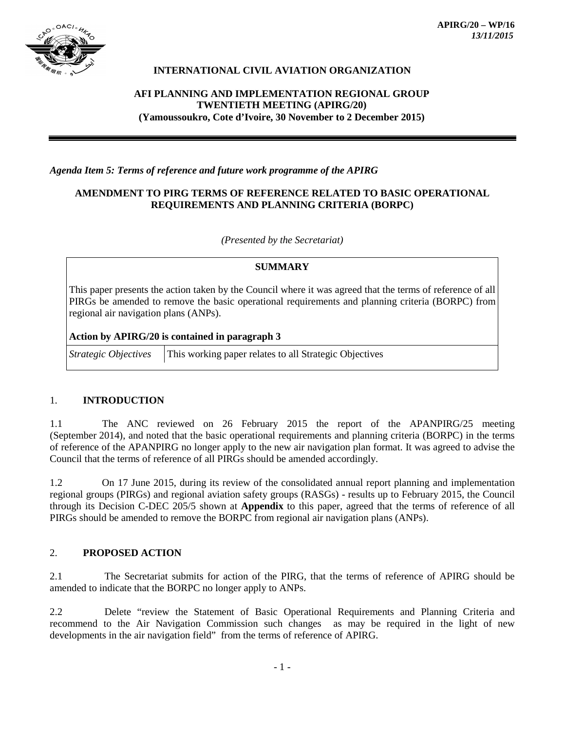

# **INTERNATIONAL CIVIL AVIATION ORGANIZATION**

# **AFI PLANNING AND IMPLEMENTATION REGIONAL GROUP TWENTIETH MEETING (APIRG/20) (Yamoussoukro, Cote d'Ivoire, 30 November to 2 December 2015)**

### *Agenda Item 5: Terms of reference and future work programme of the APIRG*

### **AMENDMENT TO PIRG TERMS OF REFERENCE RELATED TO BASIC OPERATIONAL REQUIREMENTS AND PLANNING CRITERIA (BORPC)**

*(Presented by the Secretariat)*

#### **SUMMARY**

This paper presents the action taken by the Council where it was agreed that the terms of reference of all PIRGs be amended to remove the basic operational requirements and planning criteria (BORPC) from regional air navigation plans (ANPs).

#### **Action by APIRG/20 is contained in paragraph 3**

*Strategic Objectives* This working paper relates to all Strategic Objectives

### 1. **INTRODUCTION**

1.1 The ANC reviewed on 26 February 2015 the report of the APANPIRG/25 meeting (September 2014), and noted that the basic operational requirements and planning criteria (BORPC) in the terms of reference of the APANPIRG no longer apply to the new air navigation plan format. It was agreed to advise the Council that the terms of reference of all PIRGs should be amended accordingly.

1.2 On 17 June 2015, during its review of the consolidated annual report planning and implementation regional groups (PIRGs) and regional aviation safety groups (RASGs) - results up to February 2015, the Council through its Decision C-DEC 205/5 shown at **Appendix** to this paper, agreed that the terms of reference of all PIRGs should be amended to remove the BORPC from regional air navigation plans (ANPs).

### 2. **PROPOSED ACTION**

2.1 The Secretariat submits for action of the PIRG, that the terms of reference of APIRG should be amended to indicate that the BORPC no longer apply to ANPs.

2.2 Delete "review the Statement of Basic Operational Requirements and Planning Criteria and recommend to the Air Navigation Commission such changes as may be required in the light of new developments in the air navigation field" from the terms of reference of APIRG.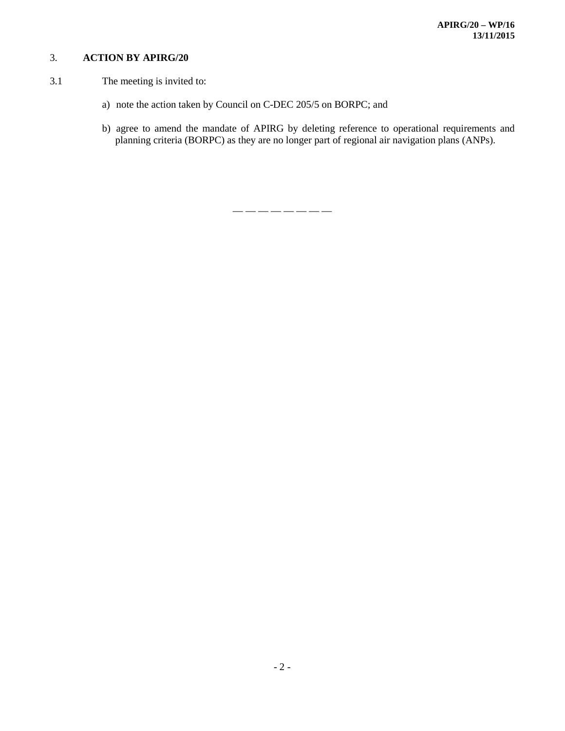# 3. **ACTION BY APIRG/20**

- 3.1 The meeting is invited to:
	- a) note the action taken by Council on C-DEC 205/5 on BORPC; and
	- b) agree to amend the mandate of APIRG by deleting reference to operational requirements and planning criteria (BORPC) as they are no longer part of regional air navigation plans (ANPs).

— — — — — — — —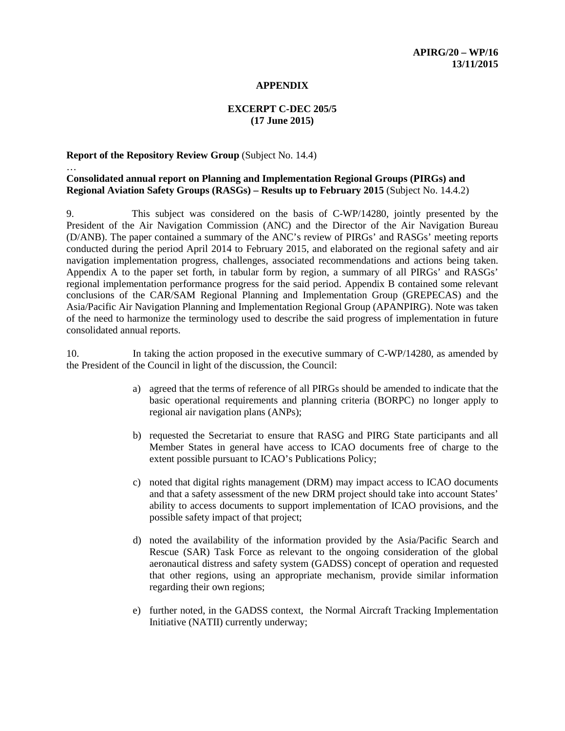#### **APPENDIX**

### **EXCERPT C-DEC 205/5 (17 June 2015)**

#### **Report of the Repository Review Group** (Subject No. 14.4)

…

# **Consolidated annual report on Planning and Implementation Regional Groups (PIRGs) and Regional Aviation Safety Groups (RASGs) – Results up to February 2015** (Subject No. 14.4.2)

9. This subject was considered on the basis of C-WP/14280, jointly presented by the President of the Air Navigation Commission (ANC) and the Director of the Air Navigation Bureau (D/ANB). The paper contained a summary of the ANC's review of PIRGs' and RASGs' meeting reports conducted during the period April 2014 to February 2015, and elaborated on the regional safety and air navigation implementation progress, challenges, associated recommendations and actions being taken. Appendix A to the paper set forth, in tabular form by region, a summary of all PIRGs' and RASGs' regional implementation performance progress for the said period. Appendix B contained some relevant conclusions of the CAR/SAM Regional Planning and Implementation Group (GREPECAS) and the Asia/Pacific Air Navigation Planning and Implementation Regional Group (APANPIRG). Note was taken of the need to harmonize the terminology used to describe the said progress of implementation in future consolidated annual reports.

10. In taking the action proposed in the executive summary of C-WP/14280, as amended by the President of the Council in light of the discussion, the Council:

- a) agreed that the terms of reference of all PIRGs should be amended to indicate that the basic operational requirements and planning criteria (BORPC) no longer apply to regional air navigation plans (ANPs);
- b) requested the Secretariat to ensure that RASG and PIRG State participants and all Member States in general have access to ICAO documents free of charge to the extent possible pursuant to ICAO's Publications Policy;
- c) noted that digital rights management (DRM) may impact access to ICAO documents and that a safety assessment of the new DRM project should take into account States' ability to access documents to support implementation of ICAO provisions, and the possible safety impact of that project;
- d) noted the availability of the information provided by the Asia/Pacific Search and Rescue (SAR) Task Force as relevant to the ongoing consideration of the global aeronautical distress and safety system (GADSS) concept of operation and requested that other regions, using an appropriate mechanism, provide similar information regarding their own regions;
- e) further noted, in the GADSS context, the Normal Aircraft Tracking Implementation Initiative (NATII) currently underway;